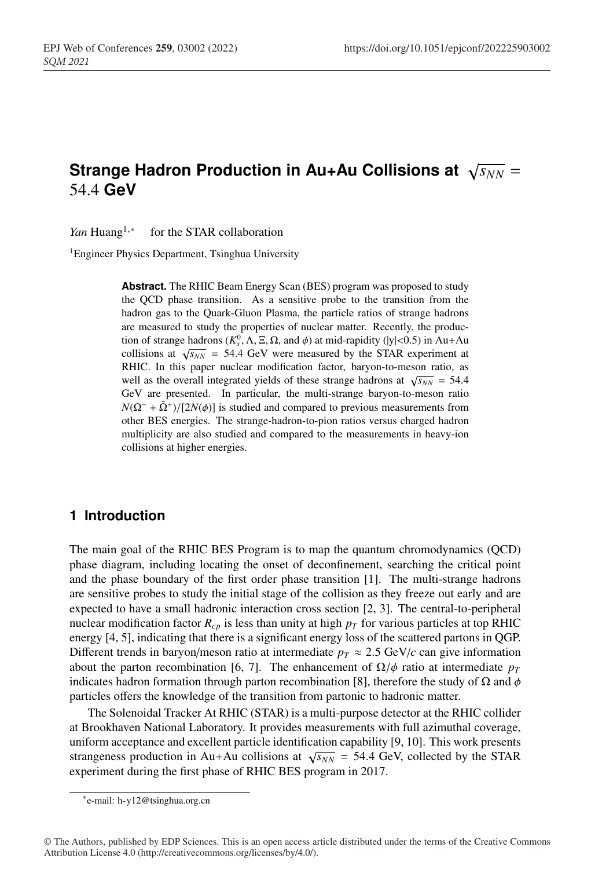# **Strange Hadron Production in Au+Au Collisions at**  $\sqrt{s_{NN}}$  = <sup>2</sup> 54.4 **GeV**

*Yan* Huang<sup>1,∗</sup> for the STAR collaboration

<sup>1</sup> Engineer Physics Department, Tsinghua University

**Abstract.** The RHIC Beam Energy Scan (BES) program was proposed to study the QCD phase transition. As a sensitive probe to the transition from the hadron gas to the Quark-Gluon Plasma, the particle ratios of strange hadrons are measured to study the properties of nuclear matter. Recently, the production of strange hadrons  $(K_s^0, \Lambda, \Xi, \Omega, \text{ and } \phi)$  at mid-rapidity (|y|<0.5) in Au+Au collisions at  $\sqrt{s_{NN}}$  = 54.4 GeV were measured by the STAR experiment at RHIC. In this paper nuclear modification factor, baryon-to-meson ratio, as well as the overall integrated yields of these strange hadrons at  $\sqrt{s_{NN}} = 54.4$ GeV are presented. In particular, the multi-strange baryon-to-meson ratio  $N(\Omega^- + \bar{\Omega}^+)/[2N(\phi)]$  is studied and compared to previous measurements from other BES energies. The strange-hadron-to-pion ratios versus charged hadron multiplicity are also studied and compared to the measurements in heavy-ion collisions at higher energies.

### <sup>18</sup> **1 Introduction**

The main goal of the RHIC BES Program is to map the quantum chromodynamics (QCD) <sup>20</sup> phase diagram, including locating the onset of deconfinement, searching the critical point and the phase boundary of the first order phase transition [1]. The multi-strange hadrons are sensitive probes to study the initial stage of the collision as they freeze out early and are expected to have a small hadronic interaction cross section [2, 3]. The central-to-peripheral nuclear modification factor  $R_{c,p}$  is less than unity at high  $p_T$  for various particles at top RHIC <sup>25</sup> energy [4, 5], indicating that there is a significant energy loss of the scattered partons in QGP. Different trends in baryon/meson ratio at intermediate  $p_T \approx 2.5 \text{ GeV}/c$  can give information about the parton recombination [6, 7]. The enhancement of  $\Omega/\phi$  ratio at intermediate  $p_T$ indicates hadron formation through parton recombination [8], therefore the study of  $\Omega$  and  $\phi$ particles offers the knowledge of the transition from partonic to hadronic matter.

<sup>30</sup> The Solenoidal Tracker At RHIC (STAR) is a multi-purpose detector at the RHIC collider at Brookhaven National Laboratory. It provides measurements with full azimuthal coverage, uniform acceptance and excellent particle identification capability [9, 10]. This work presents strangeness production in Au+Au collisions at  $\sqrt{s_{NN}}$  = 54.4 GeV, collected by the STAR experiment during the first phase of RHIC BES program in 2017.

<sup>∗</sup>e-mail: h-y12@tsinghua.org.cn

<sup>©</sup> The Authors, published by EDP Sciences. This is an open access article distributed under the terms of the Creative Commons Attribution License 4.0 (http://creativecommons.org/licenses/by/4.0/).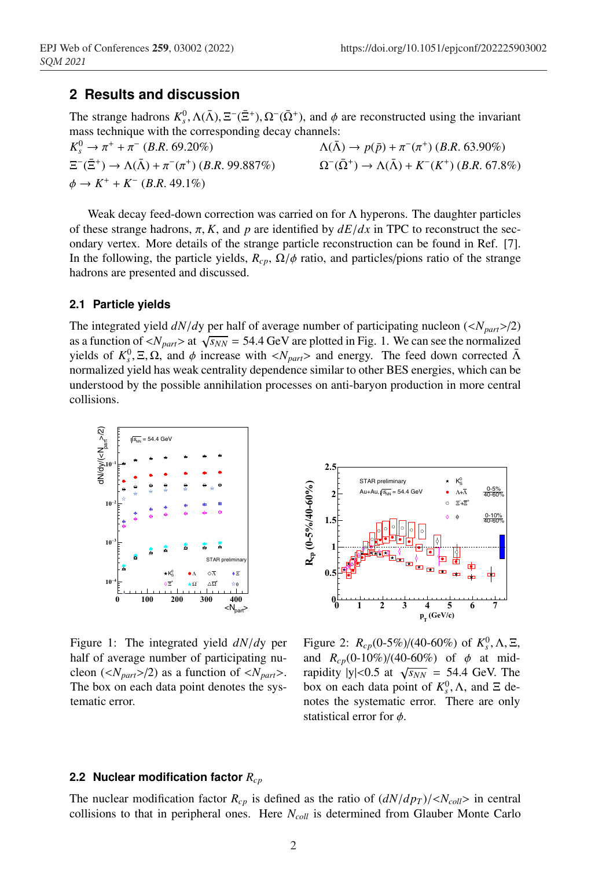## <sup>35</sup> **2 Results and discussion**

The strange hadrons  $K_s^0$ ,  $\Lambda(\bar{\Lambda})$ ,  $\Xi^{-}(\bar{\Sigma}^{+})$ ,  $\Omega^{-}(\bar{\Omega}^{+})$ , and  $\phi$  are reconstructed using the invariant mass technique with the corresponding decay channels:

 $K_s^0 \to \pi^+ + \pi^-$  (*B.R.* 69.20%)  $K_s^0 \to \pi^+ + \pi^-$  (*B.R.* 69.20%)  $\Delta(\bar{\Lambda}) \to p(\bar{p}) + \pi^-(\pi^+)$  (*B.R.* 63.90%)<br>  $\Xi^-(\bar{\Xi}^+) \to \Lambda(\bar{\Lambda}) + \pi^-(\pi^+)$  (*B.R.* 99.887%)  $\Omega^-(\bar{\Omega}^+) \to \Lambda(\bar{\Lambda}) + K^-(K^+)$  (*B.R.* 67.8)  $\Omega^-(\bar{\Omega}^+) \to \Lambda(\bar{\Lambda}) + K^-(K^+)$  (*B.R.* 67.8%)  $\phi \to K^+ + K^-$  (*B.R.* 49.1%)

Weak decay feed-down correction was carried on for  $\Lambda$  hyperons. The daughter particles of these strange hadrons,  $\pi$ , *K*, and *p* are identified by  $dE/dx$  in TPC to reconstruct the secondary vertex. More details of the strange particle reconstruction can be found in Ref. [7]. In the following, the particle yields,  $R_{cp}$ ,  $\Omega/\phi$  ratio, and particles/pions ratio of the strange hadrons are presented and discussed.

#### <sup>42</sup> **2.1 Particle yields**

The integrated yield  $dN/dy$  per half of average number of participating nucleon  $\left(\langle N_{part}\rangle/2\right)$ as a function of  $\langle N_{part} \rangle$  at  $\sqrt{s_{NN}}$  = 54.4 GeV are plotted in Fig. 1. We can see the normalized yields of  $K_s^0$ , Ξ, Ω, and φ increase with  $\langle N_{part} \rangle$  and energy. The feed down corrected  $\bar{\Lambda}$ <sup>46</sup> normalized yield has weak centrality dependence similar to other BES energies, which can be <sup>47</sup> understood by the possible annihilation processes on anti-baryon production in more central collisions.



Figure 1: The integrated yield *dN*/*d*y per half of average number of participating nucleon ( $\langle N_{part} \rangle$ /2) as a function of  $\langle N_{part} \rangle$ . The box on each data point denotes the systematic error.



Figure 2:  $R_{cp}(0.5\%/40.60\%)$  of  $K_s^0$ ,  $\Lambda$ ,  $\Xi$ , and  $R_{cp}(0.10\%)/(40.60\%)$  of  $\phi$  at midrapidity  $|y| < 0.5$  at  $\sqrt{s_{NN}} = 54.4$  GeV. The box on each data point of  $K_s^0$ ,  $\Lambda$ , and  $\Xi$  denotes the systematic error. There are only statistical error for  $\phi$ .

#### <sup>49</sup> **2.2 Nuclear modification factor** *Rcp*

The nuclear modification factor  $R_{cp}$  is defined as the ratio of  $(dN/dp_T)/\langle N_{coll}\rangle$  in central collisions to that in peripheral ones. Here *N<sub>coll</sub>* is determined from Glauber Monte Carlo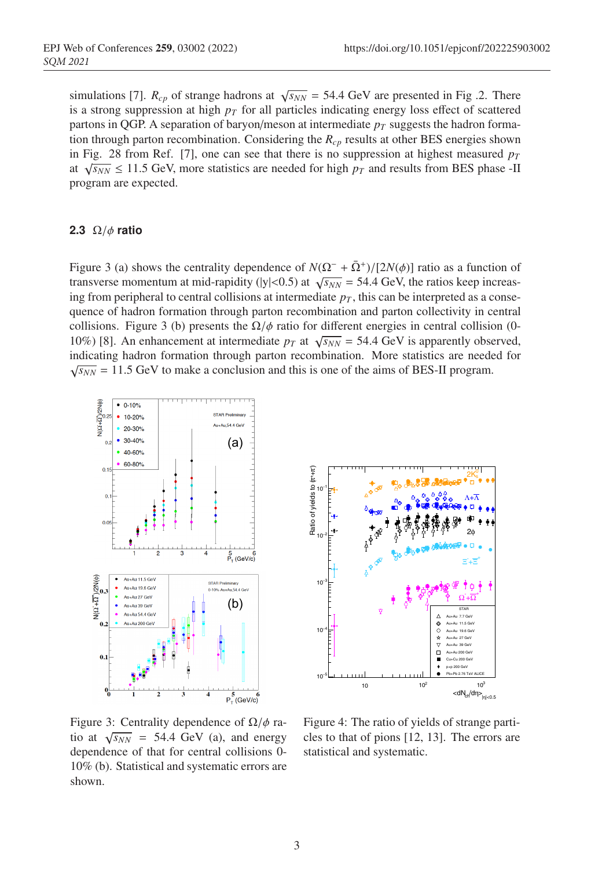simulations [7].  $R_{cp}$  of strange hadrons at  $\sqrt{s_{NN}}$  = 54.4 GeV are presented in Fig .2. There is a strong suppression at high  $p<sub>T</sub>$  for all particles indicating energy loss effect of scattered partons in QGP. A separation of baryon/meson at intermediate  $p_T$  suggests the hadron formation through parton recombination. Considering the  $R_{cp}$  results at other BES energies shown in Fig. 28 from Ref. [7], one can see that there is no suppression at highest measured  $p_T$ at  $\sqrt{s_{NN}} \le 11.5$  GeV, more statistics are needed for high  $p_T$  and results from BES phase -II program are expected.

#### <sup>59</sup> **2.3** Ω/φ **ratio**

Figure 3 (a) shows the centrality dependence of  $N(\Omega^- + \overline{\Omega}^+) / [2N(\phi)]$  ratio as a function of transverse momentum at mid-rapidity ( $|y|$ <0.5) at  $\sqrt{s_{NN}}$  = 54.4 GeV, the ratios keep increasing from peripheral to central collisions at intermediate  $p<sub>T</sub>$ , this can be interpreted as a consequence of hadron formation through parton recombination and parton collectivity in central collisions. Figure 3 (b) presents the  $\Omega/\phi$  ratio for different energies in central collision (0-10%) [8]. An enhancement at intermediate  $p_T$  at  $\sqrt{s_{NN}}$  = 54.4 GeV is apparently observed, indicating hadron formation through parton recombination. More statistics are needed for  $\sqrt{s_{NN}}$  = 11.5 GeV to make a conclusion and this is one of the aims of BES-II program.





Figure 3: Centrality dependence of  $\Omega/\phi$  ratio at  $\sqrt{s_{NN}}$  = 54.4 GeV (a), and energy dependence of that for central collisions 0- 10% (b). Statistical and systematic errors are shown.

Figure 4: The ratio of yields of strange particles to that of pions [12, 13]. The errors are statistical and systematic.